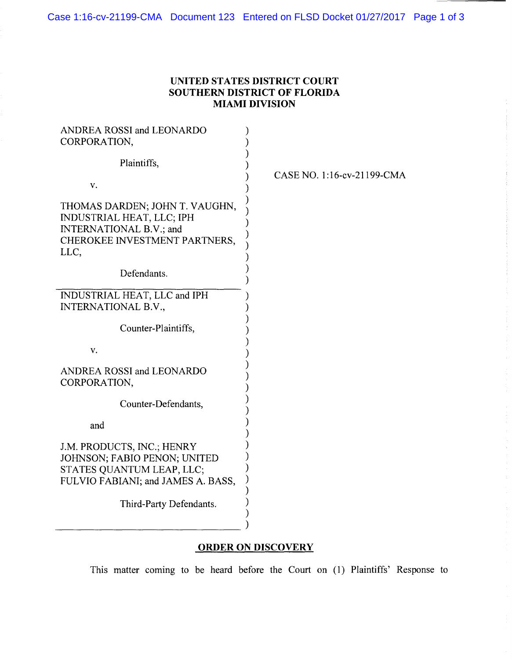## **UNITED STATES DISTRICT COURT SOUTHERN DISTRICT OF FLORIDA MIAMI DIVISION**

| ANDREA ROSSI and LEONARDO<br>CORPORATION,                                                                                              |                            |
|----------------------------------------------------------------------------------------------------------------------------------------|----------------------------|
| Plaintiffs,                                                                                                                            |                            |
| v.                                                                                                                                     | CASE NO. 1:16-cv-21199-CMA |
| THOMAS DARDEN; JOHN T. VAUGHN,<br><b>INDUSTRIAL HEAT, LLC; IPH</b><br>INTERNATIONAL B.V.; and<br>CHEROKEE INVESTMENT PARTNERS,<br>LLC, |                            |
| Defendants.                                                                                                                            |                            |
| INDUSTRIAL HEAT, LLC and IPH<br>INTERNATIONAL B.V.,                                                                                    |                            |
| Counter-Plaintiffs,                                                                                                                    |                            |
| V.                                                                                                                                     |                            |
| ANDREA ROSSI and LEONARDO<br>CORPORATION,                                                                                              |                            |
| Counter-Defendants,                                                                                                                    |                            |
| and                                                                                                                                    |                            |
| J.M. PRODUCTS, INC.; HENRY<br>JOHNSON; FABIO PENON; UNITED<br>STATES QUANTUM LEAP, LLC;<br>FULVIO FABIANI; and JAMES A. BASS,          |                            |
| Third-Party Defendants.                                                                                                                |                            |

## **ORDER ON DISCOVERY**

This matter coming to be heard before the Court on (1) Plaintiffs' Response to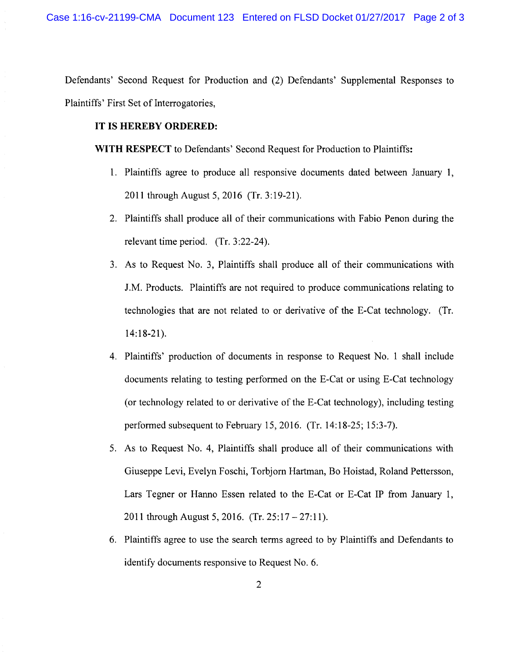Defendants' Second Request for Production and (2) Defendants' Supplemental Responses to Plaintiffs' First Set of Interrogatories,

## **IT IS HEREBY ORDERED:**

**WITH RESPECT** to Defendants' Second Request for Production to Plaintiffs:

- 1. Plaintiffs agree to produce all responsive documents dated between January 1, 2011 through August 5, 2016 (Tr. 3:19-21).
- 2. Plaintiffs shall produce all of their communications with Fabio Penon during the relevant time period. (Tr. 3:22-24).
- 3. As to Request No. 3, Plaintiffs shall produce all of their communications with J.M. Products. Plaintiffs are not required to produce communications relating to technologies that are not related to or derivative of the E-Cat technology. (Tr. 14:18-21).
- 4. Plaintiffs' production of documents in response to Request No. 1 shall include documents relating to testing performed on the E-Cat or using E-Cat technology (or technology related to or derivative of the E-Cat technology), including testing performed subsequent to February 15,2016. (Tr. 14:18-25; 15:3-7).
- 5. As to Request No. 4, Plaintiffs shall produce all of their communications with Giuseppe Levi, Evelyn Foschi, Torbjorn Hartman, Bo Hoistad, Roland Pettersson, Lars Tegner or Hanno Essen related to the E-Cat or E-Cat IP from January 1, 2011 through August 5, 2016. (Tr. 25:17- 27:11).
- 6. Plaintiffs agree to use the search terms agreed to by Plaintiffs and Defendants to identify documents responsive to Request No.6.